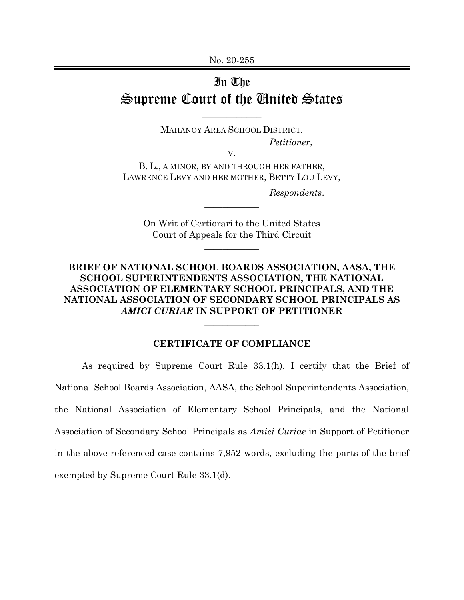## In The Supreme Court of the United States

MAHANOY AREA SCHOOL DISTRICT, *Petitioner*,

\_\_\_\_\_\_\_\_\_\_\_\_

V.

B. L., A MINOR, BY AND THROUGH HER FATHER, LAWRENCE LEVY AND HER MOTHER, BETTY LOU LEVY,

*Respondents*.

On Writ of Certiorari to the United States Court of Appeals for the Third Circuit

 $\overline{\phantom{a}}$  , where  $\overline{\phantom{a}}$ 

 $\overline{\phantom{a}}$  , where  $\overline{\phantom{a}}$ 

## **BRIEF OF NATIONAL SCHOOL BOARDS ASSOCIATION, AASA, THE SCHOOL SUPERINTENDENTS ASSOCIATION, THE NATIONAL ASSOCIATION OF ELEMENTARY SCHOOL PRINCIPALS, AND THE NATIONAL ASSOCIATION OF SECONDARY SCHOOL PRINCIPALS AS**  *AMICI CURIAE* **IN SUPPORT OF PETITIONER**

## **CERTIFICATE OF COMPLIANCE**

 $\overline{\phantom{a}}$  , where  $\overline{\phantom{a}}$ 

As required by Supreme Court Rule 33.1(h), I certify that the Brief of National School Boards Association, AASA, the School Superintendents Association, the National Association of Elementary School Principals, and the National Association of Secondary School Principals as *Amici Curiae* in Support of Petitioner in the above-referenced case contains 7,952 words, excluding the parts of the brief exempted by Supreme Court Rule 33.1(d).